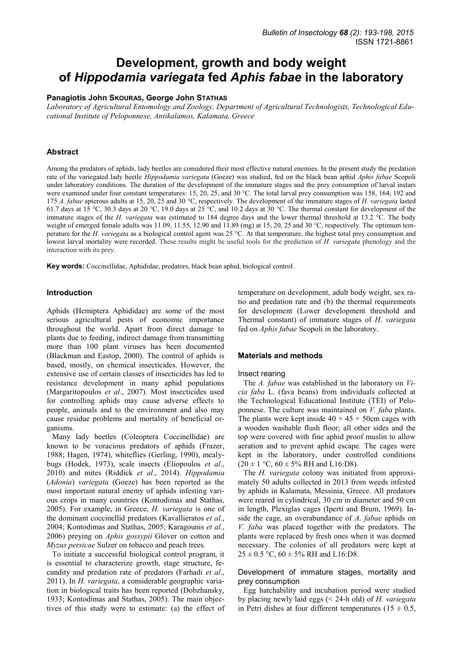# **Development, growth and body weight of** *Hippodamia variegata* **fed** *Aphis fabae* **in the laboratory**

## **Panagiotis John SKOURAS, George John STATHAS**

*Laboratory of Agricultural Entomology and Zoology, Department of Agricultural Technologists, Technological Educational Institute of Peloponnese, Antikalamos, Kalamata, Greece* 

# **Abstract**

Among the predators of aphids, lady beetles are considered their most effective natural enemies. In the present study the predation rate of the variegated lady beetle *Hippodamia variegata* (Goeze) was studied, fed on the black bean aphid *Aphis fabae* Scopoli under laboratory conditions. The duration of the development of the immature stages and the prey consumption of larval instars were examined under four constant temperatures: 15, 20, 25, and 30 °C. The total larval prey consumption was 158, 164, 192 and 175 *A. fabae* apterous adults at 15, 20, 25 and 30 °C, respectively. The development of the immature stages of *H. variegata* lasted 61.7 days at 15 °C, 30.3 days at 20 °C, 19.0 days at 25 °C, and 10.2 days at 30 °C. The thermal constant for development of the immature stages of the *H. variegata* was estimated to 184 degree days and the lower thermal threshold at 13.2 °C. The body weight of emerged female adults was 11.09, 11.55, 12.90 and 11.89 (mg) at 15, 20, 25 and 30 °C, respectively. The optimum temperature for the *H. variegata* as a biological control agent was 25 °C. At that temperature, the highest total prey consumption and lowest larval mortality were recorded. These results might be useful tools for the prediction of *H. variegata* phenology and the interaction with its prey.

**Key words:** Coccinellidae, Aphididae, predators, black bean aphid, biological control.

#### **Introduction**

Aphids (Hemiptera Aphididae) are some of the most serious agricultural pests of economic importance throughout the world. Apart from direct damage to plants due to feeding, indirect damage from transmitting more than 100 plant viruses has been documented (Blackman and Eastop, 2000). The control of aphids is based, mostly, on chemical insecticides. However, the extensive use of certain classes of insecticides has led to resistance development in many aphid populations (Margaritopoulos *et al*., 2007). Most insecticides used for controlling aphids may cause adverse effects to people, animals and to the environment and also may cause residue problems and mortality of beneficial organisms.

Many lady beetles (Coleoptera Coccinellidae) are known to be voracious predators of aphids (Frazer, 1988; Hagen, 1974), whiteflies (Gerling, 1990), mealybugs (Hodek, 1973), scale insects (Eliopoulos *et al*., 2010) and mites (Riddick *et al*., 2014). *Hippodamia* (*Adonia*) *variegata* (Goeze) has been reported as the most important natural enemy of aphids infesting various crops in many countries (Kontodimas and Stathas, 2005). For example, in Greece, *H. variegata* is one of the dominant coccinellid predators (Kavallieratos *et al*., 2004; Kontodimas and Stathas, 2005; Karagounis *et al*., 2006) preying on *Aphis gossypii* Glover on cotton and *Myzus persicae* Sulzer on tobacco and peach trees.

To initiate a successful biological control program, it is essential to characterize growth, stage structure, fecundity and predation rate of predators (Farhadi *et al*., 2011). In *H. variegata*, a considerable geographic variation in biological traits has been reported (Dobzhansky, 1933; Kontodimas and Stathas, 2005). The main objectives of this study were to estimate: (a) the effect of temperature on development, adult body weight, sex ratio and predation rate and (b) the thermal requirements for development (Lower development threshold and Thermal constant) of immature stages of *H. variegata* fed on *Aphis fabae* Scopoli in the laboratory.

#### **Materials and methods**

#### Insect rearing

The *A. fabae* was established in the laboratory on *Vicia faba* L. (fava beans) from individuals collected at the Technological Educational Institute (TEI) of Peloponnese. The culture was maintained on *V. faba* plants. The plants were kept inside  $40 \times 45 \times 50$ cm cages with a wooden washable flush floor; all other sides and the top were covered with fine aphid proof muslin to allow aeration and to prevent aphid escape. The cages were kept in the laboratory, under controlled conditions  $(20 \pm 1 \degree C, 60 \pm 5\% \text{ RH}$  and L16:D8).

The *H. variegata* colony was initiated from approximately 50 adults collected in 2013 from weeds infested by aphids in Kalamata, Messinia, Greece. All predators were reared in cylindrical, 30 cm in diameter and 50 cm in length, Plexiglas cages (Iperti and Brum, 1969). Inside the cage, an overabundance of *A. fabae* aphids on *V. faba* was placed together with the predators. The plants were replaced by fresh ones when it was deemed necessary. The colonies of all predators were kept at  $25 \pm 0.5$  °C,  $60 \pm 5\%$  RH and L16:D8.

# Development of immature stages, mortality and prey consumption

Egg hatchability and incubation period were studied by placing newly laid eggs (< 24-h old) of *H. variegata* in Petri dishes at four different temperatures ( $15 \pm 0.5$ ,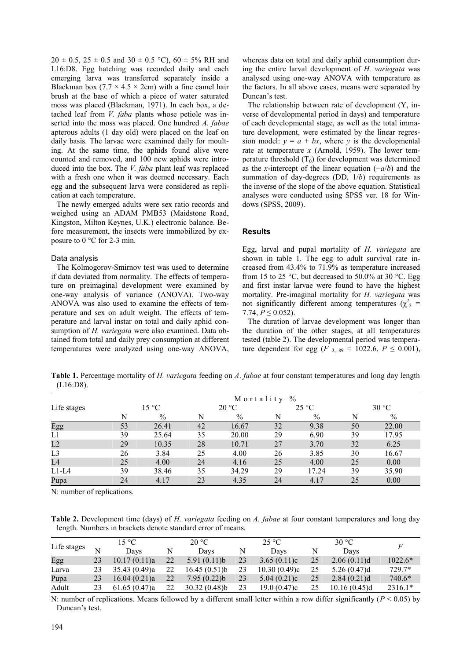$20 \pm 0.5$ ,  $25 \pm 0.5$  and  $30 \pm 0.5$  °C),  $60 \pm 5\%$  RH and L16:D8. Egg hatching was recorded daily and each emerging larva was transferred separately inside a Blackman box  $(7.7 \times 4.5 \times 2cm)$  with a fine camel hair brush at the base of which a piece of water saturated moss was placed (Blackman, 1971). In each box, a detached leaf from *V. faba* plants whose petiole was inserted into the moss was placed. One hundred *A. fabae*  apterous adults (1 day old) were placed on the leaf on daily basis. The larvae were examined daily for moulting. At the same time, the aphids found alive were counted and removed, and 100 new aphids were introduced into the box. The *V. faba* plant leaf was replaced with a fresh one when it was deemed necessary. Each egg and the subsequent larva were considered as replication at each temperature.

The newly emerged adults were sex ratio records and weighed using an ADAM PMB53 (Maidstone Road, Kingston, Milton Keynes, U.K.) electronic balance. Before measurement, the insects were immobilized by exposure to 0 °C for 2-3 min.

# Data analysis

The Kolmogorov-Smirnov test was used to determine if data deviated from normality. The effects of temperature on preimaginal development were examined by one-way analysis of variance (ANOVA). Two-way ANOVA was also used to examine the effects of temperature and sex on adult weight. The effects of temperature and larval instar on total and daily aphid consumption of *H. variegata* were also examined. Data obtained from total and daily prey consumption at different temperatures were analyzed using one-way ANOVA, whereas data on total and daily aphid consumption during the entire larval development of *H. variegata* was analysed using one-way ANOVA with temperature as the factors. In all above cases, means were separated by Duncan's test.

The relationship between rate of development (Y, inverse of developmental period in days) and temperature of each developmental stage, as well as the total immature development, were estimated by the linear regression model:  $y = a + bx$ , where *y* is the developmental rate at temperature *x* (Arnold, 1959). The lower temperature threshold  $(T_0)$  for development was determined as the *x*-intercept of the linear equation (−*a*/*b*) and the summation of day-degrees (DD, 1/*b*) requirements as the inverse of the slope of the above equation. Statistical analyses were conducted using SPSS ver. 18 for Windows (SPSS, 2009).

#### **Results**

Egg, larval and pupal mortality of *H. variegata* are shown in table 1. The egg to adult survival rate increased from 43.4% to 71.9% as temperature increased from 15 to 25 °C, but decreased to 50.0% at 30 °C. Egg and first instar larvae were found to have the highest mortality. Pre-imaginal mortality for *H. variegata* was not significantly different among temperatures ( $\chi^2$ <sub>3</sub> = 7.74,  $P \leq 0.052$ ).

The duration of larvae development was longer than the duration of the other stages, at all temperatures tested (table 2). The developmental period was temperature dependent for egg (*F* <sub>3, 89</sub> = 1022.6,  $P \le 0.001$ ),

**Table 1.** Percentage mortality of *H. variegata* feeding on *A*. *fabae* at four constant temperatures and long day length (L16:D8).

|                |    | $\%$<br>Mortality |    |       |    |               |       |       |  |  |  |
|----------------|----|-------------------|----|-------|----|---------------|-------|-------|--|--|--|
| Life stages    |    | $15 \text{ °C}$   |    | 20 °C |    | $25^{\circ}C$ | 30 °C |       |  |  |  |
|                | N  | $\%$              | N  | $\%$  | N  | $\%$          | N     | $\%$  |  |  |  |
| Egg            | 53 | 26.41             | 42 | 16.67 | 32 | 9.38          | 50    | 22.00 |  |  |  |
| L1             | 39 | 25.64             | 35 | 20.00 | 29 | 6.90          | 39    | 17.95 |  |  |  |
| L2             | 29 | 10.35             | 28 | 10.71 | 27 | 3.70          | 32    | 6.25  |  |  |  |
| L <sub>3</sub> | 26 | 3.84              | 25 | 4.00  | 26 | 3.85          | 30    | 16.67 |  |  |  |
| L4             | 25 | 4.00              | 24 | 4.16  | 25 | 4.00          | 25    | 0.00  |  |  |  |
| $L1-L4$        | 39 | 38.46             | 35 | 34.29 | 29 | 17.24         | 39    | 35.90 |  |  |  |
| Pupa           | 24 | 4.17              | 23 | 4.35  | 24 | 4.17          | 25    | 0.00  |  |  |  |

N: number of replications.

**Table 2.** Development time (days) of *H. variegata* feeding on *A. fabae* at four constant temperatures and long day length. Numbers in brackets denote standard error of means.

|             |    | 15 °C        |    | 20 °C        |    | $25^{\circ}C$ |    | 30 °C        |           |
|-------------|----|--------------|----|--------------|----|---------------|----|--------------|-----------|
| Life stages | N  | Davs         |    | Davs         |    | Davs          |    | Davs         |           |
| Egg         | 23 | 10.17(0.11)a | 22 | 5.91(0.11)b  | 23 | 3.65(0.11)c   | 25 | 2.06(0.11)d  | $1022.6*$ |
| Larva       | 23 | 35.43(0.49)a | 22 | 16.45(0.51)b | 23 | 10.30(0.49)c  | 25 | 5.26(0.47)d  | 729.7*    |
| Pupa        | 23 | 16.04(0.21)a | 22 | 7.95(0.22)b  | 23 | 5.04(0.21)c   | 25 | 2.84(0.21)d  | $740.6*$  |
| Adult       | 23 | 61.65(0.47)a | 22 | 30.32(0.48)  | 23 | 19.0(0.47)c   | 25 | 10.16(0.45)d | $2316.1*$ |

N: number of replications. Means followed by a different small letter within a row differ significantly ( $P < 0.05$ ) by Duncan's test.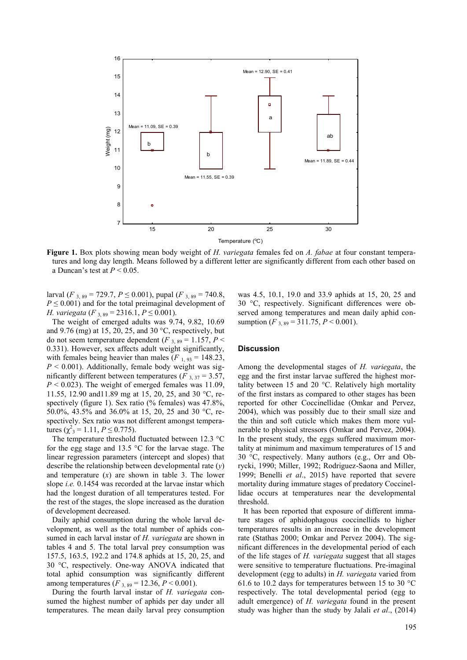

**Figure 1.** Box plots showing mean body weight of *H. variegata* females fed on *A. fabae* at four constant temperatures and long day length. Means followed by a different letter are significantly different from each other based on a Duncan's test at *P* < 0.05.

larval (*F* <sub>3, 89</sub> = 729.7, *P*  $\leq$  0.001), pupal (*F* <sub>3, 89</sub> = 740.8,  $P \leq 0.001$ ) and for the total preimaginal development of *H. variegata* (*F*  $_{3,89}$  = 2316.1, *P*  $\leq$  0.001).

The weight of emerged adults was 9.74, 9.82, 10.69 and 9.76 (mg) at 15, 20, 25, and 30  $^{\circ}$ C, respectively, but do not seem temperature dependent ( $F_{3, 89} = 1.157, P <$ 0.331). However, sex affects adult weight significantly, with females being heavier than males  $(F_{1, 93} = 148.23)$ ,  $P \leq 0.001$ ). Additionally, female body weight was significantly different between temperatures ( $F_3$ ,  $37$  = 3.57,  $P < 0.023$ ). The weight of emerged females was 11.09, 11.55, 12.90 and11.89 mg at 15, 20, 25, and 30 °C, respectively (figure 1). Sex ratio (% females) was 47.8%, 50.0%, 43.5% and 36.0% at 15, 20, 25 and 30 °C, respectively. Sex ratio was not different amongst temperatures ( $\chi^2$ <sub>3</sub> = 1.11, *P* ≤ 0.775).

The temperature threshold fluctuated between 12.3 °C for the egg stage and 13.5 °C for the larvae stage. The linear regression parameters (intercept and slopes) that describe the relationship between developmental rate (*y*) and temperature (*x*) are shown in table 3. The lower slope *i.e.* 0.1454 was recorded at the larvae instar which had the longest duration of all temperatures tested. For the rest of the stages, the slope increased as the duration of development decreased.

Daily aphid consumption during the whole larval development, as well as the total number of aphids consumed in each larval instar of *H. variegata* are shown in tables 4 and 5. The total larval prey consumption was 157.5, 163.5, 192.2 and 174.8 aphids at 15, 20, 25, and 30 °C, respectively. One-way ANOVA indicated that total aphid consumption was significantly different among temperatures (*F* <sub>3, 89</sub> = 12.36, *P* < 0.001).

During the fourth larval instar of *H. variegata* consumed the highest number of aphids per day under all temperatures. The mean daily larval prey consumption

was 4.5, 10.1, 19.0 and 33.9 aphids at 15, 20, 25 and 30 °C, respectively. Significant differences were observed among temperatures and mean daily aphid consumption (*F* <sub>3</sub>  $_{89}$  = 311.75, *P* < 0.001).

#### **Discussion**

Among the developmental stages of *H. variegata*, the egg and the first instar larvae suffered the highest mortality between 15 and 20 °C. Relatively high mortality of the first instars as compared to other stages has been reported for other Coccinellidae (Omkar and Pervez, 2004), which was possibly due to their small size and the thin and soft cuticle which makes them more vulnerable to physical stressors (Omkar and Pervez, 2004). In the present study, the eggs suffered maximum mortality at minimum and maximum temperatures of 15 and 30 °C, respectively. Many authors (e.g., Orr and Obrycki, 1990; Miller, 1992; Rodriguez-Saona and Miller, 1999; Benelli *et al*., 2015) have reported that severe mortality during immature stages of predatory Coccinellidae occurs at temperatures near the developmental threshold.

It has been reported that exposure of different immature stages of aphidophagous coccinellids to higher temperatures results in an increase in the development rate (Stathas 2000; Omkar and Pervez 2004). The significant differences in the developmental period of each of the life stages of *H. variegata* suggest that all stages were sensitive to temperature fluctuations. Pre-imaginal development (egg to adults) in *H. variegata* varied from 61.6 to 10.2 days for temperatures between 15 to 30 °C respectively. The total developmental period (egg to adult emergence) of *H. variegata* found in the present study was higher than the study by Jalali *et al*., (2014)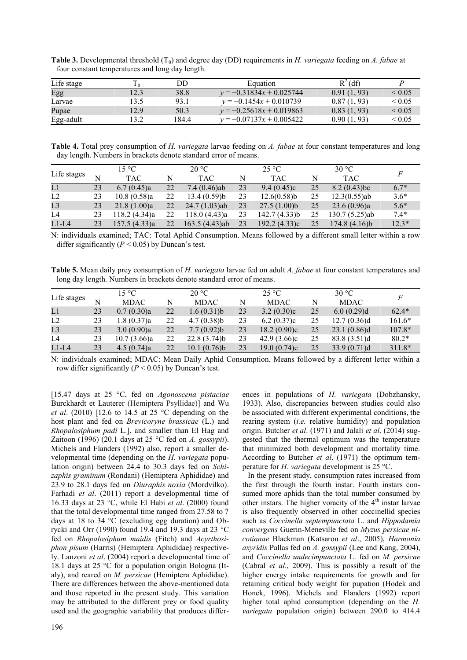| Life stage |      | DD    | Equation                   | $R^2$ (df)  |                  |
|------------|------|-------|----------------------------|-------------|------------------|
| Egg        | 12.3 | 38.8  | $y = -0.31834x + 0.025744$ | 0.91(1, 93) | ${}_{0.05}$      |
| Larvae     | 13.5 | 93.1  | $v = -0.1454x + 0.010739$  | 0.87(1, 93) | ${}_{0.05}$      |
| Pupae      | 12.9 | 50.3  | $v = -0.25618x + 0.019863$ | 0.83(1, 93) | ${}_{0.05}$      |
| Egg-adult  | 13.2 | 184.4 | $v = -0.07137x + 0.005422$ | 0.90(1, 93) | ${}_{\leq 0.05}$ |

**Table 3.** Developmental threshold (T<sub>0</sub>) and degree day (DD) requirements in *H. variegata* feeding on *A. fabae* at four constant temperatures and long day length.

**Table 4.** Total prey consumption of *H. variegata* larvae feeding on *A. fabae* at four constant temperatures and long day length. Numbers in brackets denote standard error of means.

|                |    | 15 °C         |    | 20 °C           |    | $25^{\circ}$ C |    | 30 °C           |         |
|----------------|----|---------------|----|-----------------|----|----------------|----|-----------------|---------|
| Life stages    | N  | <b>TAC</b>    | N  | <b>TAC</b>      | N  | TAC.           | N  | <b>TAC</b>      |         |
| L1             | 23 | 6.7(0.45)a    | 22 | 7.4 $(0.46)$ ab | 23 | 9.4(0.45)c     | 25 | $8.2(0.43)$ bc  | $6.7*$  |
| L2             | 23 | 10.8(0.58)a   | 22 | 13.4(0.59)b     | 23 | 12.6(0.58)     | 25 | $12.3(0.55)$ ab | $3.6*$  |
| L <sub>3</sub> | 23 | 21.8(1.00)a   | 22 | $24.7(1.03)$ ab | 23 | 27.5(1.00)b    | 25 | 23.6(0.96)a     | $5.6*$  |
| L4             | 23 | 118.2(4.34)a  | 22 | 118.0 (4.43)a   | 23 | 142.7 (4.33)b  | 25 | 130.7 (5.25)ab  | $7.4*$  |
| $L1-L4$        | 23 | 157.5 (4.33)a | 22 | 163.5 (4.43)ab  | 23 | 192.2(4.33)c   | 25 | 174.8(4.16)b    | $12.3*$ |

N: individuals examined; TAC: Total Aphid Consumption. Means followed by a different small letter within a row differ significantly  $(P < 0.05)$  by Duncan's test.

**Table 5.** Mean daily prey consumption of *H. variegata* larvae fed on adult *A. fabae* at four constant temperatures and long day length. Numbers in brackets denote standard error of means.

|             |    | 15 °C       |    | $20^{\circ}$ C |    | $25^{\circ}C$ |    | 30 °C       |          |
|-------------|----|-------------|----|----------------|----|---------------|----|-------------|----------|
| Life stages | N  | <b>MDAC</b> | N  | <b>MDAC</b>    |    | <b>MDAC</b>   | N  | <b>MDAC</b> |          |
| L1          | 23 | 0.7(0.30)a  | 22 | 1.6(0.31)b     | 23 | 3.2(0.30)c    | 25 | 6.0(0.29)d  | $62.4*$  |
| L2          | 23 | 1.8(0.37)a  | 22 | 4.7(0.38)b     | 23 | 6.2(0.37)c    | 25 | 12.7(0.36)d | $161.6*$ |
| L3          | 23 | 3.0(0.90)a  | 22 | 7.7(0.92)b     | 23 | 18.2 (0.90)c  | 25 | 23.1(0.86)d | $107.8*$ |
| L4          | 23 | 10.7(3.66)a | 22 | 22.8(3.74)b    | 23 | 42.9(3.66)c   | 25 | 83.8(3.51)d | $80.2*$  |
| $L1-L4$     | 23 | 4.5(0.74)a  | 22 | 10.1(0.76)b    | 23 | 19.0(0.74)c   | 25 | 33.9(0.71)d | $311.8*$ |

N: individuals examined; MDAC: Mean Daily Aphid Consumption. Means followed by a different letter within a row differ significantly  $(P < 0.05)$  by Duncan's test.

[15.47 days at 25 °C, fed on *Agonoscena pistaciae*  Burckhardt et Lauterer (Hemiptera Psyllidae)] and Wu *et al*. (2010) [12.6 to 14.5 at 25 °C depending on the host plant and fed on *Brevicoryne brassicae* (L.) and *Rhopalosiphum padi* L.], and smaller than El Hag and Zaitoon (1996) (20.1 days at 25 °C fed on *A. gossypii*). Michels and Flanders (1992) also, report a smaller developmental time (depending on the *H. variegata* population origin) between 24.4 to 30.3 days fed on *Schizaphis graminum* (Rondani) (Hemiptera Aphididae) and 23.9 to 28.1 days fed on *Diuraphis noxia* (Mordvilko). Farhadi *et al*. (2011) report a developmental time of 16.33 days at 23 °C, while El Habi *et al*. (2000) found that the total developmental time ranged from 27.58 to 7 days at 18 to 34 °C (excluding egg duration) and Obrycki and Orr (1990) found 19.4 and 19.3 days at 23 °C fed on *Rhopalosiphum maidis* (Fitch) and *Acyrthosiphon pisum* (Harris) (Hemiptera Aphididae) respectively. Lanzoni *et al*. (2004) report a developmental time of 18.1 days at 25 °C for a population origin Bologna (Italy), and reared on *M. persicae* (Hemiptera Aphididae). There are differences between the above-mentioned data and those reported in the present study. This variation may be attributed to the different prey or food quality used and the geographic variability that produces differ-

According to Butcher *et al*. (1971) the optimum temperature for *H. variegata* development is 25 °C. In the present study, consumption rates increased from the first through the fourth instar. Fourth instars consumed more aphids than the total number consumed by other instars. The higher voracity of the  $4<sup>th</sup>$  instar larvae is also frequently observed in other coccinellid species such as *Coccinella septempunctata* L. and *Hippodamia* 

*convergens* Guerin-Meneville fed on *Myzus persicae nicotianae* Blackman (Katsarou *et al*., 2005), *Harmonia axyridis* Pallas fed on *A. gossypii* (Lee and Kang, 2004), and *Coccinella undecimpunctata* L. fed on *M. persicae* (Cabral *et al*., 2009). This is possibly a result of the higher energy intake requirements for growth and for retaining critical body weight for pupation (Hodek and Honek, 1996). Michels and Flanders (1992) report higher total aphid consumption (depending on the *H. variegata* population origin) between 290.0 to 414.4

ences in populations of *H. variegata* (Dobzhansky, 1933). Also, discrepancies between studies could also be associated with different experimental conditions, the rearing system (*i.e.* relative humidity) and population origin. Butcher *et al*. (1971) and Jalali *et al*. (2014) suggested that the thermal optimum was the temperature that minimized both development and mortality time.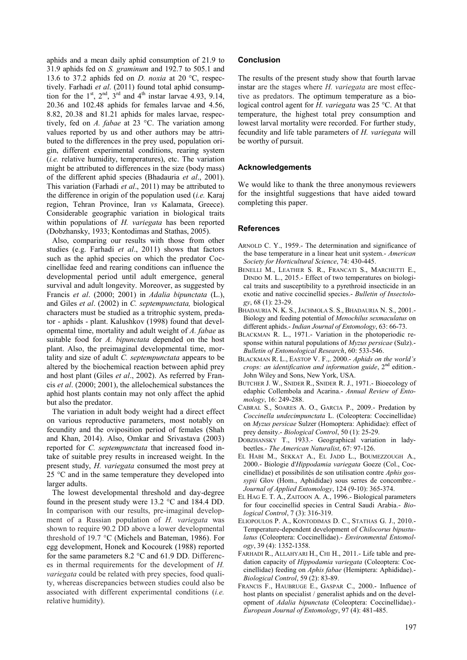aphids and a mean daily aphid consumption of 21.9 to 31.9 aphids fed on *S. graminum* and 192.7 to 505.1 and 13.6 to 37.2 aphids fed on *D. noxia* at 20 °C, respectively. Farhadi *et al*. (2011) found total aphid consumption for the  $1<sup>st</sup>$ ,  $2<sup>nd</sup>$ ,  $3<sup>rd</sup>$  and  $4<sup>th</sup>$  instar larvae 4.93, 9.14, 20.36 and 102.48 aphids for females larvae and 4.56, 8.82, 20.38 and 81.21 aphids for males larvae, respectively, fed on *A. fabae* at 23 °C. The variation among values reported by us and other authors may be attributed to the differences in the prey used, population origin, different experimental conditions, rearing system (*i.e.* relative humidity, temperatures), etc. The variation might be attributed to differences in the size (body mass) of the different aphid species (Bhadauria *et al*., 2001). This variation (Farhadi *et al*., 2011) may be attributed to the difference in origin of the population used (*i.e.* Karaj region, Tehran Province, Iran *vs* Kalamata, Greece). Considerable geographic variation in biological traits within populations of *H. variegata* has been reported (Dobzhansky, 1933; Kontodimas and Stathas, 2005).

Also, comparing our results with those from other studies (e.g. Farhadi *et al*., 2011) shows that factors such as the aphid species on which the predator Coccinellidae feed and rearing conditions can influence the developmental period until adult emergence, general survival and adult longevity. Moreover, as suggested by Francis *et al*. (2000; 2001) in *Adalia bipunctata* (L.), and Giles *et al*. (2002) in *C. septempunctata,* biological characters must be studied as a tritrophic system, predator - aphids - plant. Kalushkov (1998) found that developmental time, mortality and adult weight of *A. fabae* as suitable food for *A. bipunctata* depended on the host plant. Also, the preimaginal developmental time, mortality and size of adult *C. septempunctata* appears to be altered by the biochemical reaction between aphid prey and host plant (Giles *et al*., 2002). As referred by Francis *et al*. (2000; 2001), the allelochemical substances the aphid host plants contain may not only affect the aphid but also the predator.

The variation in adult body weight had a direct effect on various reproductive parameters, most notably on fecundity and the oviposition period of females (Shah and Khan, 2014). Also, Omkar and Srivastava (2003) reported for *C. septempunctata* that increased food intake of suitable prey results in increased weight. In the present study, *H. variegata* consumed the most prey at 25 °C and in the same temperature they developed into larger adults.

The lowest developmental threshold and day-degree found in the present study were 13.2 °C and 184.4 DD. In comparison with our results, pre-imaginal development of a Russian population of *H. variegata* was shown to require 90.2 DD above a lower developmental threshold of 19.7 °C (Michels and Bateman, 1986). For egg development, Honek and Kocourek (1988) reported for the same parameters 8.2 °C and 61.9 DD. Differences in thermal requirements for the development of *H. variegata* could be related with prey species, food quality, whereas discrepancies between studies could also be associated with different experimental conditions (*i.e.* relative humidity).

## **Conclusion**

The results of the present study show that fourth larvae instar are the stages where *H. variegata* are most effective as predators. The optimum temperature as a biological control agent for *H. variegata* was 25 °C. At that temperature, the highest total prey consumption and lowest larval mortality were recorded. For further study, fecundity and life table parameters of *H. variegata* will be worthy of pursuit.

# **Acknowledgements**

We would like to thank the three anonymous reviewers for the insightful suggestions that have aided toward completing this paper.

#### **References**

- ARNOLD C. Y., 1959.- The determination and significance of the base temperature in a linear heat unit system.- *American Society for Horticultural Science*, 74: 430-445.
- BENELLI M., LEATHER S. R., FRANCATI S., MARCHETTI E., DINDO M. L., 2015.- Effect of two temperatures on biological traits and susceptibility to a pyrethroid insecticide in an exotic and native coccinellid species.- *Bulletin of Insectology*, 68 (1): 23-29.
- BHADAURIA N. K. S., JACHMOLA S. S., BHADAURIA N. S., 2001.- Biology and feeding potential of *Menochilus sexmaculatus* on different aphids.- *Indian Journal of Entomology*, 63: 66-73.
- BLACKMAN R. L., 1971.- Variation in the photoperiodic response within natural populations of *Myzus persicae* (Sulz).- *Bulletin of Entomological Research*, 60: 533-546.
- BLACKMAN R. L., EASTOP V. F.,. 2000.- *Aphids on the world's crops: an identification and information guide*, 2 nd edition.- John Wiley and Sons, New York, USA.
- BUTCHER J. W., SNIDER R., SNIDER R. J., 1971.- Bioecology of edaphic Collembola and Acarina.- *Annual Review of Entomology*, 16: 249-288.
- CABRAL S., SOARES A. O., GARCIA P., 2009.- Predation by *Coccinella undecimpunctata* L. (Coleoptera: Coccinellidae) on *Myzus persicae* Sulzer (Homoptera: Aphididae): effect of prey density.- *Biological Control*, 50 (1): 25-29.
- DOBZHANSKY T., 1933.- Geographical variation in ladybeetles.- *The American Naturalist*, 67: 97-126.
- EL HABI M., SEKKAT A., EL JADD L., BOUMEZZOUGH A., 2000.- Biologie d'*Hippodamia variegata* Goeze (Col., Coccinellidae) et possibilités de son utilisation contre *Aphis gossypii* Glov (Hom., Aphididae) sous serres de concombre.- *Journal of Applied Entomology*, 124 (9-10): 365-374.
- EL HAG E. T. A., ZAITOON A. A., 1996.- Biological parameters for four coccinellid species in Central Saudi Arabia.- *Biological Control*, 7 (3): 316-319.
- ELIOPOULOS P. A., KONTODIMAS D. C., STATHAS G. J., 2010.- Temperature-dependent development of *Chilocorus bipustulatus* (Coleoptera: Coccinellidae).- *Environmental Entomology*, 39 (4): 1352-1358.
- FARHADI R., ALLAHYARI H., CHI H., 2011.- Life table and predation capacity of *Hippodamia variegata* (Coleoptera: Coccinellidae) feeding on *Aphis fabae* (Hemiptera: Aphididae).- *Biological Control*, 59 (2): 83-89.
- FRANCIS F., HAUBRUGE E., GASPAR C., 2000.- Influence of host plants on specialist / generalist aphids and on the development of *Adalia bipunctata* (Coleoptera: Coccinellidae).- *European Journal of Entomology*, 97 (4): 481-485.